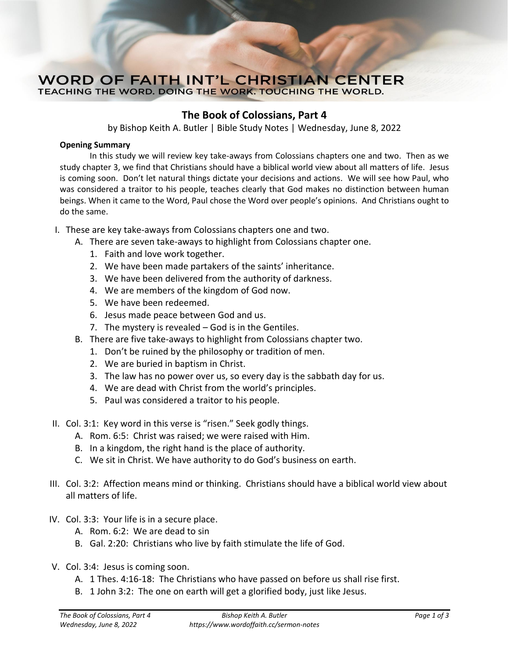## **WORD OF FAITH INT'L CHRISTIAN CENTER** TEACHING THE WORD. DOING THE WORK. TOUCHING THE WORLD.

## **The Book of Colossians, Part 4**

by Bishop Keith A. Butler | Bible Study Notes | Wednesday, June 8, 2022

## **Opening Summary**

In this study we will review key take-aways from Colossians chapters one and two. Then as we study chapter 3, we find that Christians should have a biblical world view about all matters of life. Jesus is coming soon. Don't let natural things dictate your decisions and actions. We will see how Paul, who was considered a traitor to his people, teaches clearly that God makes no distinction between human beings. When it came to the Word, Paul chose the Word over people's opinions. And Christians ought to do the same.

- I. These are key take-aways from Colossians chapters one and two.
	- A. There are seven take-aways to highlight from Colossians chapter one.
		- 1. Faith and love work together.
		- 2. We have been made partakers of the saints' inheritance.
		- 3. We have been delivered from the authority of darkness.
		- 4. We are members of the kingdom of God now.
		- 5. We have been redeemed.
		- 6. Jesus made peace between God and us.
		- 7. The mystery is revealed God is in the Gentiles.
	- B. There are five take-aways to highlight from Colossians chapter two.
		- 1. Don't be ruined by the philosophy or tradition of men.
		- 2. We are buried in baptism in Christ.
		- 3. The law has no power over us, so every day is the sabbath day for us.
		- 4. We are dead with Christ from the world's principles.
		- 5. Paul was considered a traitor to his people.
- II. Col. 3:1: Key word in this verse is "risen." Seek godly things.
	- A. Rom. 6:5: Christ was raised; we were raised with Him.
	- B. In a kingdom, the right hand is the place of authority.
	- C. We sit in Christ. We have authority to do God's business on earth.
- III. Col. 3:2: Affection means mind or thinking. Christians should have a biblical world view about all matters of life.
- IV. Col. 3:3: Your life is in a secure place.
	- A. Rom. 6:2: We are dead to sin
	- B. Gal. 2:20: Christians who live by faith stimulate the life of God.
- V. Col. 3:4: Jesus is coming soon.
	- A. 1 Thes. 4:16-18: The Christians who have passed on before us shall rise first.
	- B. 1 John 3:2: The one on earth will get a glorified body, just like Jesus.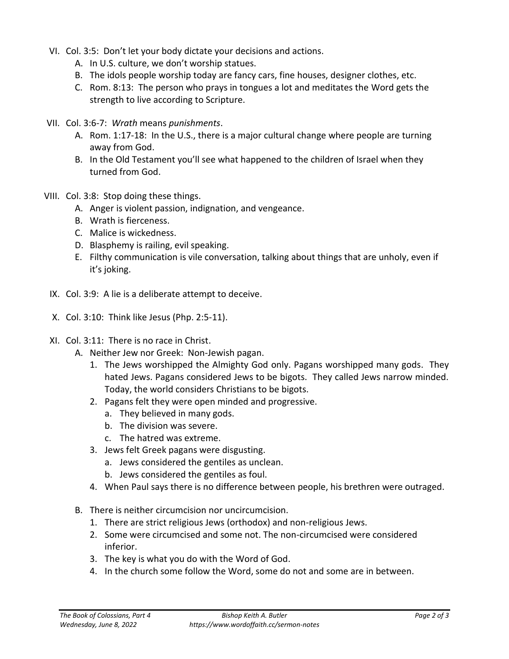- VI. Col. 3:5: Don't let your body dictate your decisions and actions.
	- A. In U.S. culture, we don't worship statues.
	- B. The idols people worship today are fancy cars, fine houses, designer clothes, etc.
	- C. Rom. 8:13: The person who prays in tongues a lot and meditates the Word gets the strength to live according to Scripture.
- VII. Col. 3:6-7: *Wrath* means *punishments*.
	- A. Rom. 1:17-18: In the U.S., there is a major cultural change where people are turning away from God.
	- B. In the Old Testament you'll see what happened to the children of Israel when they turned from God.
- VIII. Col. 3:8: Stop doing these things.
	- A. Anger is violent passion, indignation, and vengeance.
	- B. Wrath is fierceness.
	- C. Malice is wickedness.
	- D. Blasphemy is railing, evil speaking.
	- E. Filthy communication is vile conversation, talking about things that are unholy, even if it's joking.
- IX. Col. 3:9: A lie is a deliberate attempt to deceive.
- X. Col. 3:10: Think like Jesus (Php. 2:5-11).
- XI. Col. 3:11: There is no race in Christ.
	- A. Neither Jew nor Greek: Non-Jewish pagan.
		- 1. The Jews worshipped the Almighty God only. Pagans worshipped many gods. They hated Jews. Pagans considered Jews to be bigots. They called Jews narrow minded. Today, the world considers Christians to be bigots.
		- 2. Pagans felt they were open minded and progressive.
			- a. They believed in many gods.
			- b. The division was severe.
			- c. The hatred was extreme.
		- 3. Jews felt Greek pagans were disgusting.
			- a. Jews considered the gentiles as unclean.
			- b. Jews considered the gentiles as foul.
		- 4. When Paul says there is no difference between people, his brethren were outraged.
	- B. There is neither circumcision nor uncircumcision.
		- 1. There are strict religious Jews (orthodox) and non-religious Jews.
		- 2. Some were circumcised and some not. The non-circumcised were considered inferior.
		- 3. The key is what you do with the Word of God.
		- 4. In the church some follow the Word, some do not and some are in between.